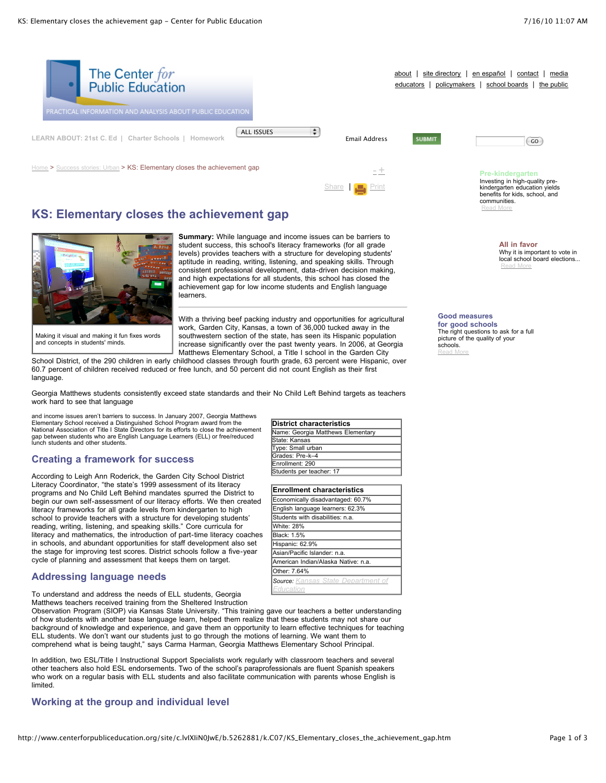

[Share](javascript:void(0)) | [Print](javascript:CallPrint()

# **KS: Elementary closes the achievement gap**



**Summary:** While language and income issues can be barriers to student success, this school's literacy frameworks (for all grade levels) provides teachers with a structure for developing students' aptitude in reading, writing, listening, and speaking skills. Through consistent professional development, data-driven decision making, and high expectations for all students, this school has closed the achievement gap for low income students and English language learners.

Making it visual and making it fun fixes words and concepts in students' minds.

With a thriving beef packing industry and opportunities for agricultural work, Garden City, Kansas, a town of 36,000 tucked away in the southwestern section of the state, has seen its Hispanic population increase significantly over the past twenty years. In 2006, at Georgia Matthews Elementary School, a Title I school in the Garden City

School District, of the 290 children in early childhood classes through fourth grade, 63 percent were Hispanic, over 60.7 percent of children received reduced or free lunch, and 50 percent did not count English as their first language.

Georgia Matthews students consistently exceed state standards and their No Child Left Behind targets as teachers work hard to see that language

and income issues aren't barriers to success. In January 2007, Georgia Matthews Elementary School received a Distinguished School Program award from the National Association of Title I State Directors for its efforts to close the achievement gap between students who are English Language Learners (ELL) or free/reduced lunch students and other students.

# **Creating a framework for success**

According to Leigh Ann Roderick, the Garden City School District Literacy Coordinator, "the state's 1999 assessment of its literacy programs and No Child Left Behind mandates spurred the District to begin our own self-assessment of our literacy efforts. We then created literacy frameworks for all grade levels from kindergarten to high school to provide teachers with a structure for developing students' reading, writing, listening, and speaking skills." Core curricula for literacy and mathematics, the introduction of part-time literacy coaches in schools, and abundant opportunities for staff development also set the stage for improving test scores. District schools follow a five-year cycle of planning and assessment that keeps them on target.

### **Addressing language needs**

To understand and address the needs of ELL students, Georgia Matthews teachers received training from the Sheltered Instruction

Observation Program (SIOP) via Kansas State University. "This training gave our teachers a better understanding of how students with another base language learn, helped them realize that these students may not share our background of knowledge and experience, and gave them an opportunity to learn effective techniques for teaching ELL students. We don't want our students just to go through the motions of learning. We want them to comprehend what is being taught," says Carma Harman, Georgia Matthews Elementary School Principal.

In addition, two ESL/Title I Instructional Support Specialists work regularly with classroom teachers and several other teachers also hold ESL endorsements. Two of the school's paraprofessionals are fluent Spanish speakers who work on a regular basis with ELL students and also facilitate communication with parents whose English is limited.

### **Working at the group and individual level**

| District characteristics          |
|-----------------------------------|
| Name: Georgia Matthews Elementary |
| State: Kansas                     |
| Type: Small urban                 |
| Grades: Pre-k–4                   |
| Enrollment: 290                   |
| Students per teacher: 17          |
|                                   |

| <b>Enrollment characteristics</b>   |
|-------------------------------------|
| Economically disadvantaged: 60.7%   |
| English language learners: 62.3%    |
| Students with disabilities: n.a.    |
| White: 28%                          |
| Black: 1.5%                         |
| Hispanic: 62.9%                     |
| Asian/Pacific Islander: n.a.        |
| American Indian/Alaska Native: n.a. |
| Other: 7.64%                        |
| Source: Kansas State Department of  |
| Education                           |

#### **Good measures for good schools** The right questions to ask for a full picture of the quality of your

kindergarten education yields benefits for kids, school, and

**All in favor**

[Read](http://www.centerforpubliceducation.org/site/lookup.asp?c=lvIXIiN0JwE&b=5137871) More

Why it is important to vote in local school board elections...

communities. [Read](http://www.centerforpubliceducation.org/site/lookup.asp?c=lvIXIiN0JwE&b=5137859) More

schools. [Read](http://www.centerforpubliceducation.org/site/lookup.asp?c=lvIXIiN0JwE&b=5137869) More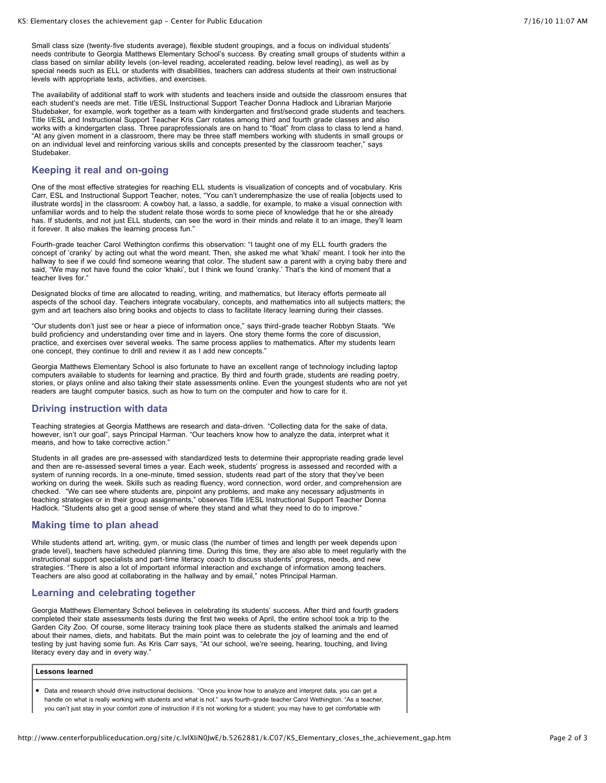Small class size (twenty-five students average), flexible student groupings, and a focus on individual students' needs contribute to Georgia Matthews Elementary School's success. By creating small groups of students within a class based on similar ability levels (on-level reading, accelerated reading, below level reading), as well as by special needs such as ELL or students with disabilities, teachers can address students at their own instructional levels with appropriate texts, activities, and exercises.

The availability of additional staff to work with students and teachers inside and outside the classroom ensures that each student's needs are met. Title I/ESL Instructional Support Teacher Donna Hadlock and Librarian Marjorie Studebaker, for example, work together as a team with kindergarten and first/second grade students and teachers. Title I/ESL and Instructional Support Teacher Kris Carr rotates among third and fourth grade classes and also works with a kindergarten class. Three paraprofessionals are on hand to "float" from class to class to lend a hand. "At any given moment in a classroom, there may be three staff members working with students in small groups or on an individual level and reinforcing various skills and concepts presented by the classroom teacher," says **Studebaker** 

### **Keeping it real and on-going**

One of the most effective strategies for reaching ELL students is visualization of concepts and of vocabulary. Kris Carr, ESL and Instructional Support Teacher, notes, "You can't underemphasize the use of realia [objects used to illustrate words] in the classroom: A cowboy hat, a lasso, a saddle, for example, to make a visual connection with unfamiliar words and to help the student relate those words to some piece of knowledge that he or she already has. If students, and not just ELL students, can see the word in their minds and relate it to an image, they'll learn it forever. It also makes the learning process fun."

Fourth-grade teacher Carol Wethington confirms this observation: "I taught one of my ELL fourth graders the concept of 'cranky' by acting out what the word meant. Then, she asked me what 'khaki' meant. I took her into the hallway to see if we could find someone wearing that color. The student saw a parent with a crying baby there and said, "We may not have found the color 'khaki', but I think we found 'cranky.' That's the kind of moment that a teacher lives for."

Designated blocks of time are allocated to reading, writing, and mathematics, but literacy efforts permeate all aspects of the school day. Teachers integrate vocabulary, concepts, and mathematics into all subjects matters; the gym and art teachers also bring books and objects to class to facilitate literacy learning during their classes.

"Our students don't just see or hear a piece of information once," says third-grade teacher Robbyn Staats. "We build proficiency and understanding over time and in layers. One story theme forms the core of discussion, practice, and exercises over several weeks. The same process applies to mathematics. After my students learn one concept, they continue to drill and review it as I add new concepts."

Georgia Matthews Elementary School is also fortunate to have an excellent range of technology including laptop computers available to students for learning and practice. By third and fourth grade, students are reading poetry, stories, or plays online and also taking their state assessments online. Even the youngest students who are not yet readers are taught computer basics, such as how to turn on the computer and how to care for it.

### **Driving instruction with data**

Teaching strategies at Georgia Matthews are research and data-driven. "Collecting data for the sake of data, however, isn't our goal", says Principal Harman. "Our teachers know how to analyze the data, interpret what it means, and how to take corrective action."

Students in all grades are pre-assessed with standardized tests to determine their appropriate reading grade level and then are re-assessed several times a year. Each week, students' progress is assessed and recorded with a system of running records. In a one-minute, timed session, students read part of the story that they've been working on during the week. Skills such as reading fluency, word connection, word order, and comprehension are checked. "We can see where students are, pinpoint any problems, and make any necessary adjustments in teaching strategies or in their group assignments," observes Title I/ESL Instructional Support Teacher Donna Hadlock. "Students also get a good sense of where they stand and what they need to do to improve."

#### **Making time to plan ahead**

While students attend art, writing, gym, or music class (the number of times and length per week depends upon grade level), teachers have scheduled planning time. During this time, they are also able to meet regularly with the instructional support specialists and part-time literacy coach to discuss students' progress, needs, and new strategies. "There is also a lot of important informal interaction and exchange of information among teachers. Teachers are also good at collaborating in the hallway and by email," notes Principal Harman.

## **Learning and celebrating together**

Georgia Matthews Elementary School believes in celebrating its students' success. After third and fourth graders completed their state assessments tests during the first two weeks of April, the entire school took a trip to the Garden City Zoo. Of course, some literacy training took place there as students stalked the animals and learned about their names, diets, and habitats. But the main point was to celebrate the joy of learning and the end of testing by just having some fun. As Kris Carr says, "At our school, we're seeing, hearing, touching, and living literacy every day and in every way."

#### **Lessons learned**

Data and research should drive instructional decisions. "Once you know how to analyze and interpret data, you can get a handle on what is really working with students and what is not." says fourth-grade teacher Carol Wethington. "As a teacher, you can't just stay in your comfort zone of instruction if it's not working for a student; you may have to get comfortable with